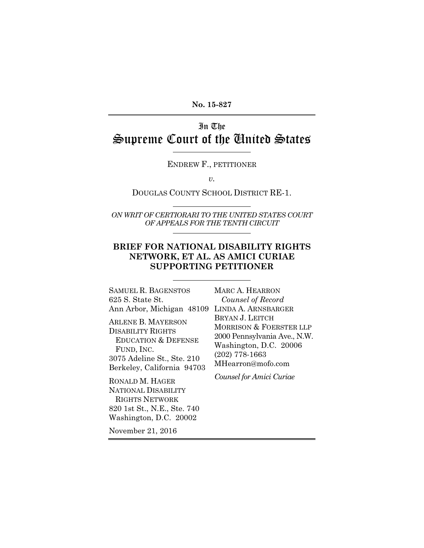**No. 15-827** 

# In The Supreme Court of the United States

ENDREW F., PETITIONER

*v.* 

DOUGLAS COUNTY SCHOOL DISTRICT RE-1.

*ON WRIT OF CERTIORARI TO THE UNITED STATES COURT OF APPEALS FOR THE TENTH CIRCUIT* 

#### **BRIEF FOR NATIONAL DISABILITY RIGHTS NETWORK, ET AL. AS AMICI CURIAE SUPPORTING PETITIONER**

SAMUEL R. BAGENSTOS 625 S. State St. Ann Arbor, Michigan 48109 LINDA A. ARNSBARGER ARLENE B. MAYERSON DISABILITY RIGHTS EDUCATION & DEFENSE FUND, INC. 3075 Adeline St., Ste. 210 Berkeley, California 94703 RONALD M. HAGER

NATIONAL DISABILITY RIGHTS NETWORK 820 1st St., N.E., Ste. 740 Washington, D.C. 20002

MARC A. HEARRON *Counsel of Record* BRYAN J. LEITCH MORRISON & FOERSTER LLP 2000 Pennsylvania Ave., N.W. Washington, D.C. 20006 (202) 778-1663 MHearron@mofo.com

*Counsel for Amici Curiae* 

November 21, 2016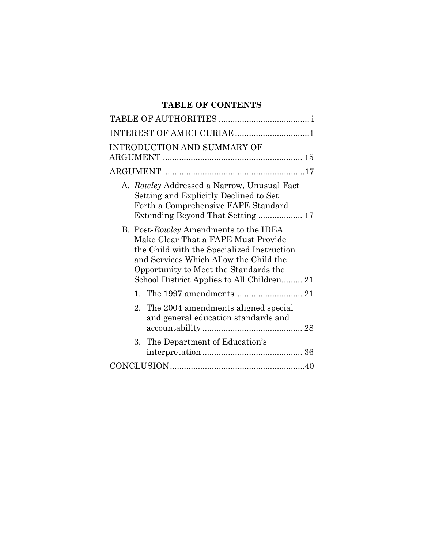### **TABLE OF CONTENTS**

| INTEREST OF AMICI CURIAE 1                                                                                                                                                                                                                                  |
|-------------------------------------------------------------------------------------------------------------------------------------------------------------------------------------------------------------------------------------------------------------|
| INTRODUCTION AND SUMMARY OF                                                                                                                                                                                                                                 |
|                                                                                                                                                                                                                                                             |
| A. Rowley Addressed a Narrow, Unusual Fact<br>Setting and Explicitly Declined to Set<br>Forth a Comprehensive FAPE Standard                                                                                                                                 |
| B. Post-Rowley Amendments to the IDEA<br>Make Clear That a FAPE Must Provide<br>the Child with the Specialized Instruction<br>and Services Which Allow the Child the<br>Opportunity to Meet the Standards the<br>School District Applies to All Children 21 |
|                                                                                                                                                                                                                                                             |
| 2. The 2004 amendments aligned special<br>and general education standards and                                                                                                                                                                               |
| The Department of Education's<br>3.                                                                                                                                                                                                                         |
|                                                                                                                                                                                                                                                             |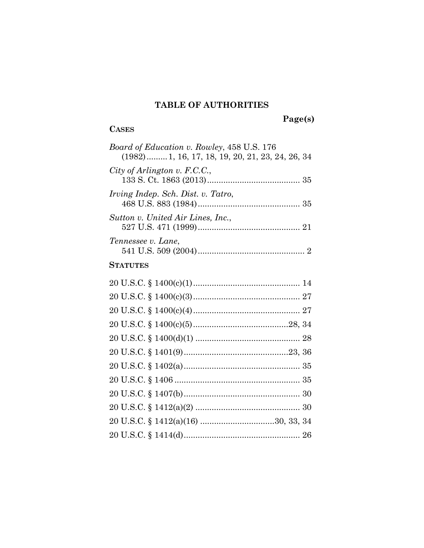### **TABLE OF AUTHORITIES**

### **CASES**

 **Page(s)** 

| <i>Board of Education v. Rowley, 458 U.S. 176</i><br>$(1982)$ 1, 16, 17, 18, 19, 20, 21, 23, 24, 26, 34 |
|---------------------------------------------------------------------------------------------------------|
| City of Arlington v. F.C.C.,                                                                            |
| <i>Irving Indep. Sch. Dist. v. Tatro.</i>                                                               |
| Sutton v. United Air Lines, Inc.,                                                                       |
| Tennessee v. Lane,                                                                                      |
| <b>STATUTES</b>                                                                                         |
|                                                                                                         |
|                                                                                                         |
|                                                                                                         |
|                                                                                                         |
|                                                                                                         |
|                                                                                                         |
|                                                                                                         |
|                                                                                                         |
|                                                                                                         |
|                                                                                                         |
|                                                                                                         |
|                                                                                                         |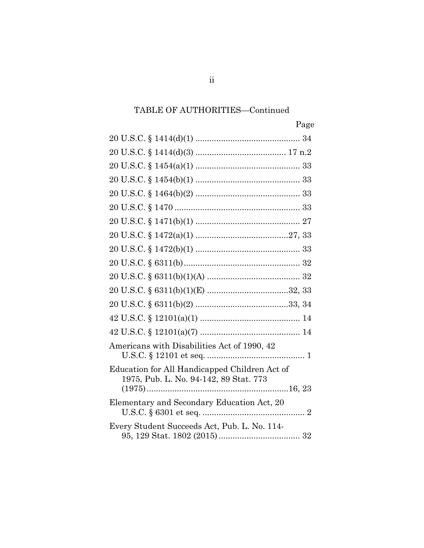# TABLE OF AUTHORITIES—Continued

| Americans with Disabilities Act of 1990, 42                                             |
|-----------------------------------------------------------------------------------------|
| Education for All Handicapped Children Act of<br>1975, Pub. L. No. 94-142, 89 Stat. 773 |
|                                                                                         |
| Elementary and Secondary Education Act, 20                                              |
| Every Student Succeeds Act, Pub. L. No. 114-                                            |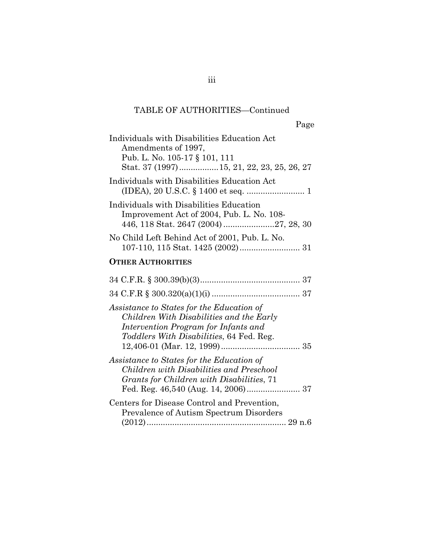### TABLE OF AUTHORITIES—Continued

| Individuals with Disabilities Education Act<br>Amendments of 1997,<br>Pub. L. No. 105-17 § 101, 111<br>Stat. 37 (1997)15, 21, 22, 23, 25, 26, 27                          |
|---------------------------------------------------------------------------------------------------------------------------------------------------------------------------|
| Individuals with Disabilities Education Act                                                                                                                               |
| Individuals with Disabilities Education<br>Improvement Act of 2004, Pub. L. No. 108-                                                                                      |
| No Child Left Behind Act of 2001, Pub. L. No.                                                                                                                             |
| <b>OTHER AUTHORITIES</b>                                                                                                                                                  |
|                                                                                                                                                                           |
|                                                                                                                                                                           |
| Assistance to States for the Education of<br>Children With Disabilities and the Early<br>Intervention Program for Infants and<br>Toddlers With Disabilities, 64 Fed. Reg. |
| Assistance to States for the Education of<br>Children with Disabilities and Preschool<br>Grants for Children with Disabilities, 71                                        |
| Centers for Disease Control and Prevention,<br>Prevalence of Autism Spectrum Disorders                                                                                    |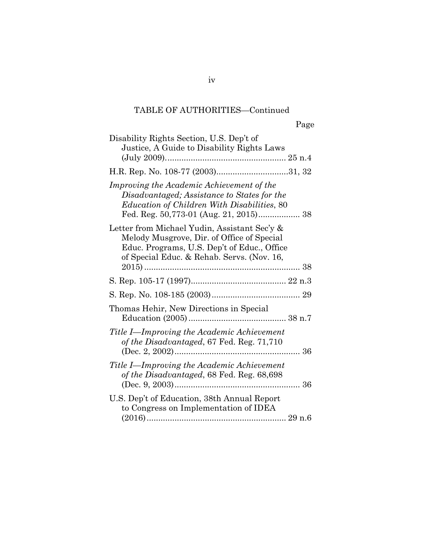### TABLE OF AUTHORITIES—Continued

# Page

| Disability Rights Section, U.S. Dep't of<br>Justice, A Guide to Disability Rights Laws                                                                                                   |
|------------------------------------------------------------------------------------------------------------------------------------------------------------------------------------------|
|                                                                                                                                                                                          |
|                                                                                                                                                                                          |
| Improving the Academic Achievement of the<br>Disadvantaged; Assistance to States for the<br><i>Education of Children With Disabilities, 80</i><br>Fed. Reg. 50,773-01 (Aug. 21, 2015) 38 |
| Letter from Michael Yudin, Assistant Sec'y &<br>Melody Musgrove, Dir. of Office of Special<br>Educ. Programs, U.S. Dep't of Educ., Office<br>of Special Educ. & Rehab. Servs. (Nov. 16,  |
|                                                                                                                                                                                          |
|                                                                                                                                                                                          |
|                                                                                                                                                                                          |
| Thomas Hehir, New Directions in Special                                                                                                                                                  |
| Title I—Improving the Academic Achievement<br>of the Disadvantaged, 67 Fed. Reg. 71,710                                                                                                  |
| Title I—Improving the Academic Achievement<br>of the Disadvantaged, 68 Fed. Reg. 68,698                                                                                                  |
| U.S. Dep't of Education, 38th Annual Report<br>to Congress on Implementation of IDEA                                                                                                     |
|                                                                                                                                                                                          |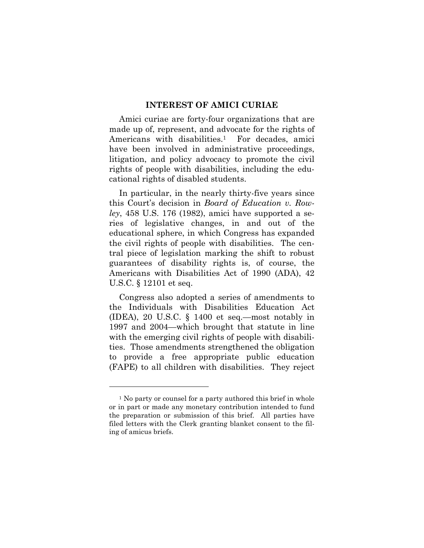#### **INTEREST OF AMICI CURIAE**

Amici curiae are forty-four organizations that are made up of, represent, and advocate for the rights of Americans with disabilities.<sup>1</sup> For decades, amici have been involved in administrative proceedings, litigation, and policy advocacy to promote the civil rights of people with disabilities, including the educational rights of disabled students.

In particular, in the nearly thirty-five years since this Court's decision in *Board of Education v. Rowley*, 458 U.S. 176 (1982), amici have supported a series of legislative changes, in and out of the educational sphere, in which Congress has expanded the civil rights of people with disabilities. The central piece of legislation marking the shift to robust guarantees of disability rights is, of course, the Americans with Disabilities Act of 1990 (ADA), 42 U.S.C. § 12101 et seq.

Congress also adopted a series of amendments to the Individuals with Disabilities Education Act (IDEA), 20 U.S.C. § 1400 et seq.—most notably in 1997 and 2004—which brought that statute in line with the emerging civil rights of people with disabilities. Those amendments strengthened the obligation to provide a free appropriate public education (FAPE) to all children with disabilities. They reject

l

<sup>&</sup>lt;sup>1</sup> No party or counsel for a party authored this brief in whole or in part or made any monetary contribution intended to fund the preparation or submission of this brief. All parties have filed letters with the Clerk granting blanket consent to the filing of amicus briefs.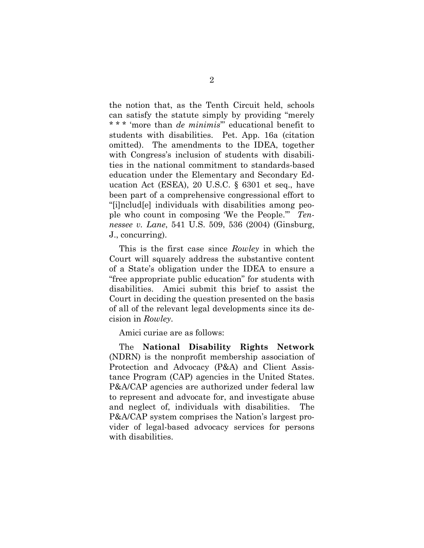the notion that, as the Tenth Circuit held, schools can satisfy the statute simply by providing "merely \* \* \* 'more than *de minimis*'" educational benefit to students with disabilities. Pet. App. 16a (citation omitted). The amendments to the IDEA, together with Congress's inclusion of students with disabilities in the national commitment to standards-based education under the Elementary and Secondary Education Act (ESEA), 20 U.S.C. § 6301 et seq., have been part of a comprehensive congressional effort to "[i]nclud[e] individuals with disabilities among people who count in composing 'We the People.'" *Tennessee v. Lane*, 541 U.S. 509, 536 (2004) (Ginsburg, J., concurring).

This is the first case since *Rowley* in which the Court will squarely address the substantive content of a State's obligation under the IDEA to ensure a "free appropriate public education" for students with disabilities. Amici submit this brief to assist the Court in deciding the question presented on the basis of all of the relevant legal developments since its decision in *Rowley*.

Amici curiae are as follows:

The **National Disability Rights Network**  (NDRN) is the nonprofit membership association of Protection and Advocacy (P&A) and Client Assistance Program (CAP) agencies in the United States. P&A/CAP agencies are authorized under federal law to represent and advocate for, and investigate abuse and neglect of, individuals with disabilities. The P&A/CAP system comprises the Nation's largest provider of legal-based advocacy services for persons with disabilities.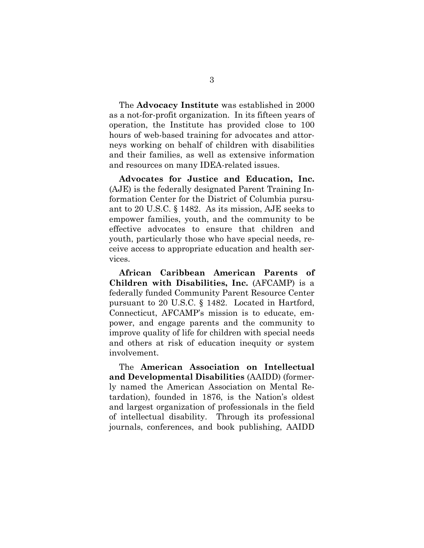The **Advocacy Institute** was established in 2000 as a not-for-profit organization. In its fifteen years of operation, the Institute has provided close to 100 hours of web-based training for advocates and attorneys working on behalf of children with disabilities and their families, as well as extensive information and resources on many IDEA-related issues.

**Advocates for Justice and Education, Inc.** (AJE) is the federally designated Parent Training Information Center for the District of Columbia pursuant to 20 U.S.C. § 1482. As its mission, AJE seeks to empower families, youth, and the community to be effective advocates to ensure that children and youth, particularly those who have special needs, receive access to appropriate education and health services.

**African Caribbean American Parents of Children with Disabilities, Inc.** (AFCAMP) is a federally funded Community Parent Resource Center pursuant to 20 U.S.C. § 1482. Located in Hartford, Connecticut, AFCAMP's mission is to educate, empower, and engage parents and the community to improve quality of life for children with special needs and others at risk of education inequity or system involvement.

The **American Association on Intellectual and Developmental Disabilities** (AAIDD) (formerly named the American Association on Mental Retardation), founded in 1876, is the Nation's oldest and largest organization of professionals in the field of intellectual disability. Through its professional journals, conferences, and book publishing, AAIDD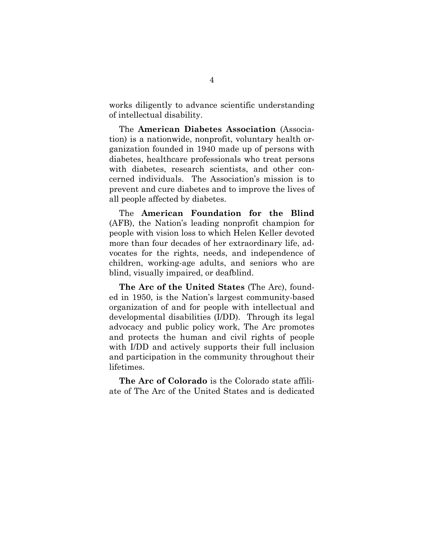works diligently to advance scientific understanding of intellectual disability.

The **American Diabetes Association** (Association) is a nationwide, nonprofit, voluntary health organization founded in 1940 made up of persons with diabetes, healthcare professionals who treat persons with diabetes, research scientists, and other concerned individuals. The Association's mission is to prevent and cure diabetes and to improve the lives of all people affected by diabetes.

The **American Foundation for the Blind** (AFB), the Nation's leading nonprofit champion for people with vision loss to which Helen Keller devoted more than four decades of her extraordinary life, advocates for the rights, needs, and independence of children, working-age adults, and seniors who are blind, visually impaired, or deafblind.

**The Arc of the United States** (The Arc), founded in 1950, is the Nation's largest community-based organization of and for people with intellectual and developmental disabilities (I/DD). Through its legal advocacy and public policy work, The Arc promotes and protects the human and civil rights of people with I/DD and actively supports their full inclusion and participation in the community throughout their lifetimes.

**The Arc of Colorado** is the Colorado state affiliate of The Arc of the United States and is dedicated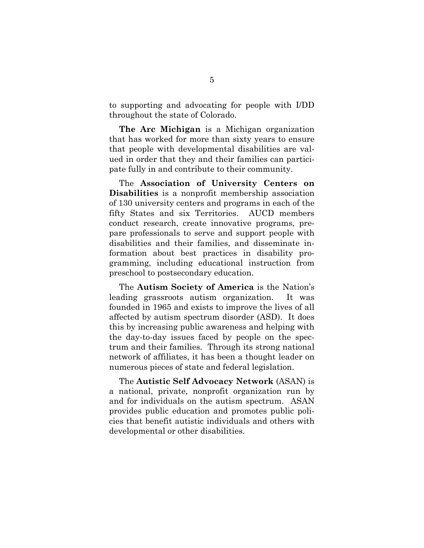to supporting and advocating for people with I/DD throughout the state of Colorado.

**The Arc Michigan** is a Michigan organization that has worked for more than sixty years to ensure that people with developmental disabilities are valued in order that they and their families can participate fully in and contribute to their community.

The **Association of University Centers on Disabilities** is a nonprofit membership association of 130 university centers and programs in each of the fifty States and six Territories. AUCD members conduct research, create innovative programs, prepare professionals to serve and support people with disabilities and their families, and disseminate information about best practices in disability programming, including educational instruction from preschool to postsecondary education.

The **Autism Society of America** is the Nation's leading grassroots autism organization. It was founded in 1965 and exists to improve the lives of all affected by autism spectrum disorder (ASD). It does this by increasing public awareness and helping with the day-to-day issues faced by people on the spectrum and their families. Through its strong national network of affiliates, it has been a thought leader on numerous pieces of state and federal legislation.

The **Autistic Self Advocacy Network** (ASAN) is a national, private, nonprofit organization run by and for individuals on the autism spectrum. ASAN provides public education and promotes public policies that benefit autistic individuals and others with developmental or other disabilities.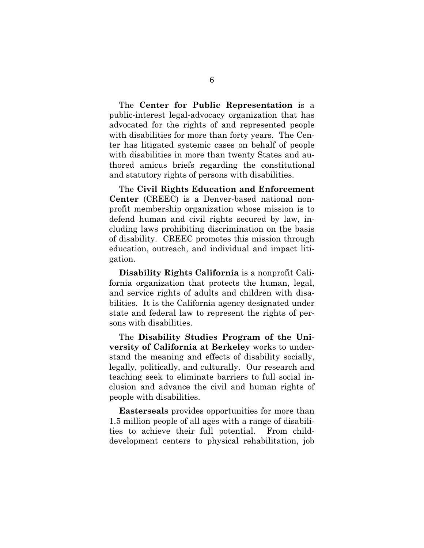The **Center for Public Representation** is a public-interest legal-advocacy organization that has advocated for the rights of and represented people with disabilities for more than forty years. The Center has litigated systemic cases on behalf of people with disabilities in more than twenty States and authored amicus briefs regarding the constitutional and statutory rights of persons with disabilities.

The **Civil Rights Education and Enforcement Center** (CREEC) is a Denver-based national nonprofit membership organization whose mission is to defend human and civil rights secured by law, including laws prohibiting discrimination on the basis of disability. CREEC promotes this mission through education, outreach, and individual and impact litigation.

**Disability Rights California** is a nonprofit California organization that protects the human, legal, and service rights of adults and children with disabilities. It is the California agency designated under state and federal law to represent the rights of persons with disabilities.

The **Disability Studies Program of the University of California at Berkeley** works to understand the meaning and effects of disability socially, legally, politically, and culturally. Our research and teaching seek to eliminate barriers to full social inclusion and advance the civil and human rights of people with disabilities.

**Easterseals** provides opportunities for more than 1.5 million people of all ages with a range of disabilities to achieve their full potential. From childdevelopment centers to physical rehabilitation, job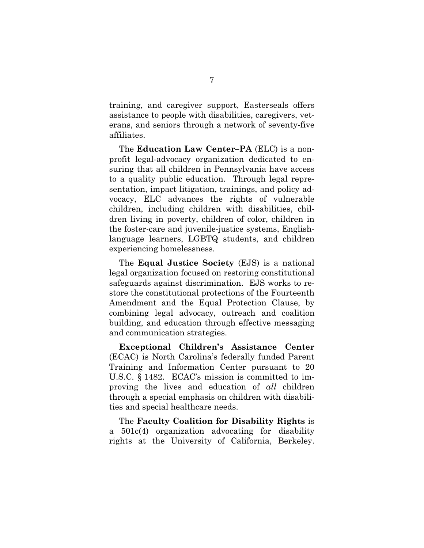training, and caregiver support, Easterseals offers assistance to people with disabilities, caregivers, veterans, and seniors through a network of seventy-five affiliates.

The **Education Law Center–PA** (ELC) is a nonprofit legal-advocacy organization dedicated to ensuring that all children in Pennsylvania have access to a quality public education. Through legal representation, impact litigation, trainings, and policy advocacy, ELC advances the rights of vulnerable children, including children with disabilities, children living in poverty, children of color, children in the foster-care and juvenile-justice systems, Englishlanguage learners, LGBTQ students, and children experiencing homelessness.

The **Equal Justice Society** (EJS) is a national legal organization focused on restoring constitutional safeguards against discrimination. EJS works to restore the constitutional protections of the Fourteenth Amendment and the Equal Protection Clause, by combining legal advocacy, outreach and coalition building, and education through effective messaging and communication strategies.

**Exceptional Children's Assistance Center** (ECAC) is North Carolina's federally funded Parent Training and Information Center pursuant to 20 U.S.C. § 1482. ECAC's mission is committed to improving the lives and education of *all* children through a special emphasis on children with disabilities and special healthcare needs.

The **Faculty Coalition for Disability Rights** is a 501c(4) organization advocating for disability rights at the University of California, Berkeley.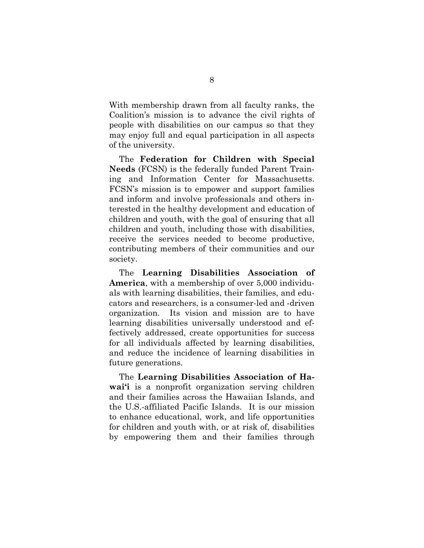With membership drawn from all faculty ranks, the Coalition's mission is to advance the civil rights of people with disabilities on our campus so that they may enjoy full and equal participation in all aspects of the university.

The **Federation for Children with Special Needs** (FCSN) is the federally funded Parent Training and Information Center for Massachusetts. FCSN's mission is to empower and support families and inform and involve professionals and others interested in the healthy development and education of children and youth, with the goal of ensuring that all children and youth, including those with disabilities, receive the services needed to become productive, contributing members of their communities and our society.

The **Learning Disabilities Association of America**, with a membership of over 5,000 individuals with learning disabilities, their families, and educators and researchers, is a consumer-led and -driven organization. Its vision and mission are to have learning disabilities universally understood and effectively addressed, create opportunities for success for all individuals affected by learning disabilities, and reduce the incidence of learning disabilities in future generations.

The **Learning Disabilities Association of Hawai'i** is a nonprofit organization serving children and their families across the Hawaiian Islands, and the U.S.-affiliated Pacific Islands. It is our mission to enhance educational, work, and life opportunities for children and youth with, or at risk of, disabilities by empowering them and their families through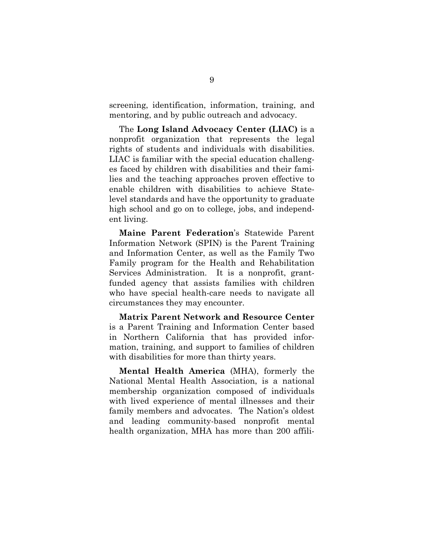screening, identification, information, training, and mentoring, and by public outreach and advocacy.

The **Long Island Advocacy Center (LIAC)** is a nonprofit organization that represents the legal rights of students and individuals with disabilities. LIAC is familiar with the special education challenges faced by children with disabilities and their families and the teaching approaches proven effective to enable children with disabilities to achieve Statelevel standards and have the opportunity to graduate high school and go on to college, jobs, and independent living.

**Maine Parent Federation**'s Statewide Parent Information Network (SPIN) is the Parent Training and Information Center, as well as the Family Two Family program for the Health and Rehabilitation Services Administration. It is a nonprofit, grantfunded agency that assists families with children who have special health-care needs to navigate all circumstances they may encounter.

**Matrix Parent Network and Resource Center** is a Parent Training and Information Center based in Northern California that has provided information, training, and support to families of children with disabilities for more than thirty years.

**Mental Health America** (MHA), formerly the National Mental Health Association, is a national membership organization composed of individuals with lived experience of mental illnesses and their family members and advocates. The Nation's oldest and leading community-based nonprofit mental health organization, MHA has more than 200 affili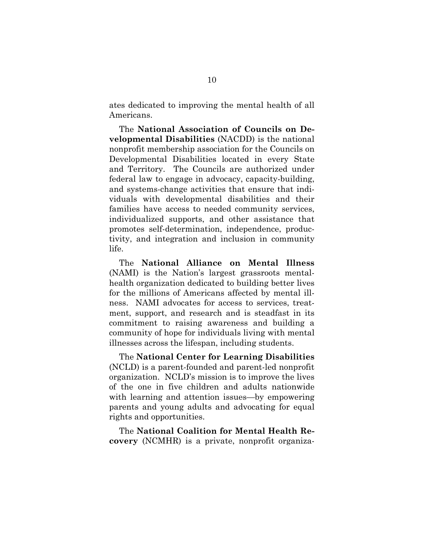ates dedicated to improving the mental health of all Americans.

The **National Association of Councils on Developmental Disabilities** (NACDD) is the national nonprofit membership association for the Councils on Developmental Disabilities located in every State and Territory. The Councils are authorized under federal law to engage in advocacy, capacity-building, and systems-change activities that ensure that individuals with developmental disabilities and their families have access to needed community services, individualized supports, and other assistance that promotes self-determination, independence, productivity, and integration and inclusion in community life.

The **National Alliance on Mental Illness** (NAMI) is the Nation's largest grassroots mentalhealth organization dedicated to building better lives for the millions of Americans affected by mental illness. NAMI advocates for access to services, treatment, support, and research and is steadfast in its commitment to raising awareness and building a community of hope for individuals living with mental illnesses across the lifespan, including students.

The **National Center for Learning Disabilities** (NCLD) is a parent-founded and parent-led nonprofit organization. NCLD's mission is to improve the lives of the one in five children and adults nationwide with learning and attention issues—by empowering parents and young adults and advocating for equal rights and opportunities.

The **National Coalition for Mental Health Recovery** (NCMHR) is a private, nonprofit organiza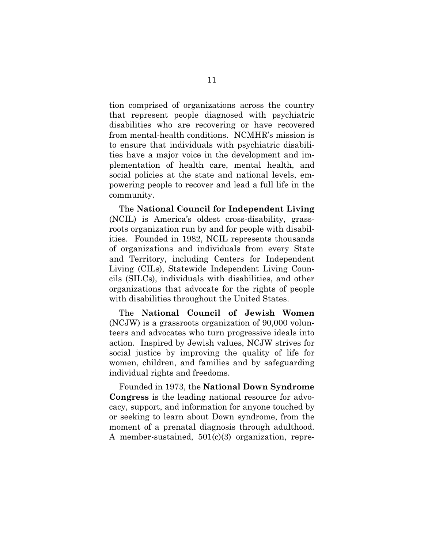tion comprised of organizations across the country that represent people diagnosed with psychiatric disabilities who are recovering or have recovered from mental-health conditions. NCMHR's mission is to ensure that individuals with psychiatric disabilities have a major voice in the development and implementation of health care, mental health, and social policies at the state and national levels, empowering people to recover and lead a full life in the community.

The **National Council for Independent Living** (NCIL) is America's oldest cross-disability, grassroots organization run by and for people with disabilities. Founded in 1982, NCIL represents thousands of organizations and individuals from every State and Territory, including Centers for Independent Living (CILs), Statewide Independent Living Councils (SILCs), individuals with disabilities, and other organizations that advocate for the rights of people with disabilities throughout the United States.

The **National Council of Jewish Women** (NCJW) is a grassroots organization of 90,000 volunteers and advocates who turn progressive ideals into action. Inspired by Jewish values, NCJW strives for social justice by improving the quality of life for women, children, and families and by safeguarding individual rights and freedoms.

Founded in 1973, the **National Down Syndrome Congress** is the leading national resource for advocacy, support, and information for anyone touched by or seeking to learn about Down syndrome, from the moment of a prenatal diagnosis through adulthood. A member-sustained, 501(c)(3) organization, repre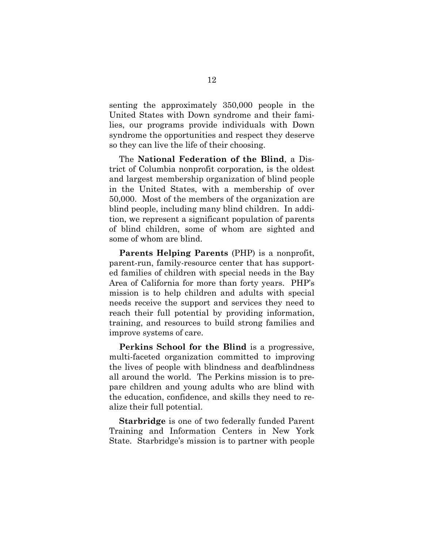senting the approximately 350,000 people in the United States with Down syndrome and their families, our programs provide individuals with Down syndrome the opportunities and respect they deserve so they can live the life of their choosing.

The **National Federation of the Blind**, a District of Columbia nonprofit corporation, is the oldest and largest membership organization of blind people in the United States, with a membership of over 50,000. Most of the members of the organization are blind people, including many blind children. In addition, we represent a significant population of parents of blind children, some of whom are sighted and some of whom are blind.

**Parents Helping Parents** (PHP) is a nonprofit, parent-run, family-resource center that has supported families of children with special needs in the Bay Area of California for more than forty years. PHP's mission is to help children and adults with special needs receive the support and services they need to reach their full potential by providing information, training, and resources to build strong families and improve systems of care.

**Perkins School for the Blind** is a progressive, multi-faceted organization committed to improving the lives of people with blindness and deafblindness all around the world. The Perkins mission is to prepare children and young adults who are blind with the education, confidence, and skills they need to realize their full potential.

**Starbridge** is one of two federally funded Parent Training and Information Centers in New York State. Starbridge's mission is to partner with people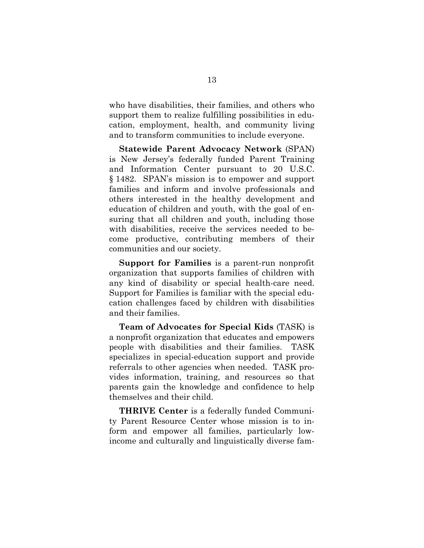who have disabilities, their families, and others who support them to realize fulfilling possibilities in education, employment, health, and community living and to transform communities to include everyone.

**Statewide Parent Advocacy Network** (SPAN) is New Jersey's federally funded Parent Training and Information Center pursuant to 20 U.S.C. § 1482. SPAN's mission is to empower and support families and inform and involve professionals and others interested in the healthy development and education of children and youth, with the goal of ensuring that all children and youth, including those with disabilities, receive the services needed to become productive, contributing members of their communities and our society.

**Support for Families** is a parent-run nonprofit organization that supports families of children with any kind of disability or special health-care need. Support for Families is familiar with the special education challenges faced by children with disabilities and their families.

**Team of Advocates for Special Kids** (TASK) is a nonprofit organization that educates and empowers people with disabilities and their families. TASK specializes in special-education support and provide referrals to other agencies when needed. TASK provides information, training, and resources so that parents gain the knowledge and confidence to help themselves and their child.

**THRIVE Center** is a federally funded Community Parent Resource Center whose mission is to inform and empower all families, particularly lowincome and culturally and linguistically diverse fam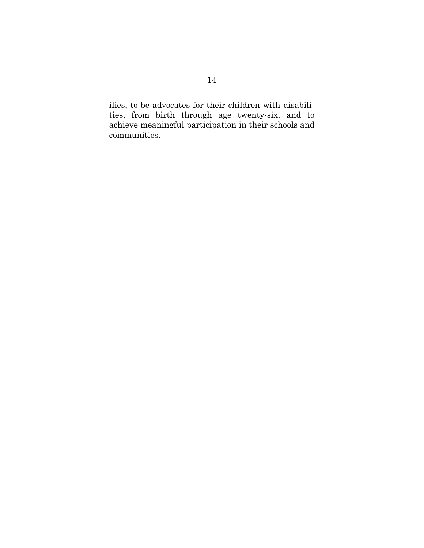ilies, to be advocates for their children with disabilities, from birth through age twenty-six, and to achieve meaningful participation in their schools and communities.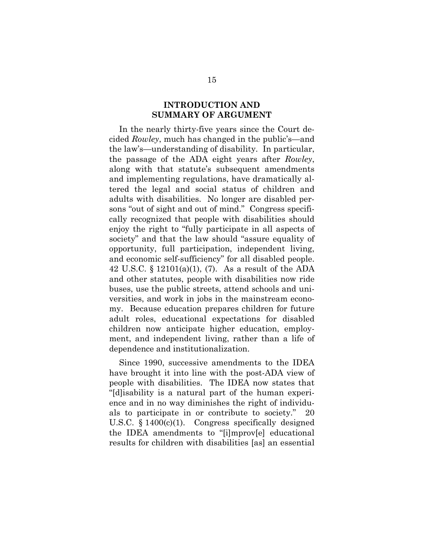#### **INTRODUCTION AND SUMMARY OF ARGUMENT**

In the nearly thirty-five years since the Court decided *Rowley*, much has changed in the public's—and the law's—understanding of disability. In particular, the passage of the ADA eight years after *Rowley*, along with that statute's subsequent amendments and implementing regulations, have dramatically altered the legal and social status of children and adults with disabilities. No longer are disabled persons "out of sight and out of mind." Congress specifically recognized that people with disabilities should enjoy the right to "fully participate in all aspects of society" and that the law should "assure equality of opportunity, full participation, independent living, and economic self-sufficiency" for all disabled people. 42 U.S.C. § 12101(a)(1), (7). As a result of the ADA and other statutes, people with disabilities now ride buses, use the public streets, attend schools and universities, and work in jobs in the mainstream economy. Because education prepares children for future adult roles, educational expectations for disabled children now anticipate higher education, employment, and independent living, rather than a life of dependence and institutionalization.

Since 1990, successive amendments to the IDEA have brought it into line with the post-ADA view of people with disabilities. The IDEA now states that "[d]isability is a natural part of the human experience and in no way diminishes the right of individuals to participate in or contribute to society." 20 U.S.C. § 1400(c)(1). Congress specifically designed the IDEA amendments to "[i]mprov[e] educational results for children with disabilities [as] an essential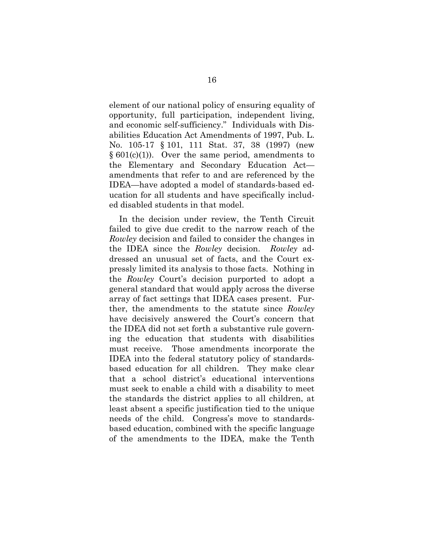element of our national policy of ensuring equality of opportunity, full participation, independent living, and economic self-sufficiency." Individuals with Disabilities Education Act Amendments of 1997, Pub. L. No. 105-17 § 101, 111 Stat. 37, 38 (1997) (new  $§ 601(c)(1)$ . Over the same period, amendments to the Elementary and Secondary Education Act amendments that refer to and are referenced by the IDEA—have adopted a model of standards-based education for all students and have specifically included disabled students in that model.

In the decision under review, the Tenth Circuit failed to give due credit to the narrow reach of the *Rowley* decision and failed to consider the changes in the IDEA since the *Rowley* decision. *Rowley* addressed an unusual set of facts, and the Court expressly limited its analysis to those facts. Nothing in the *Rowley* Court's decision purported to adopt a general standard that would apply across the diverse array of fact settings that IDEA cases present. Further, the amendments to the statute since *Rowley* have decisively answered the Court's concern that the IDEA did not set forth a substantive rule governing the education that students with disabilities must receive. Those amendments incorporate the IDEA into the federal statutory policy of standardsbased education for all children. They make clear that a school district's educational interventions must seek to enable a child with a disability to meet the standards the district applies to all children, at least absent a specific justification tied to the unique needs of the child. Congress's move to standardsbased education, combined with the specific language of the amendments to the IDEA, make the Tenth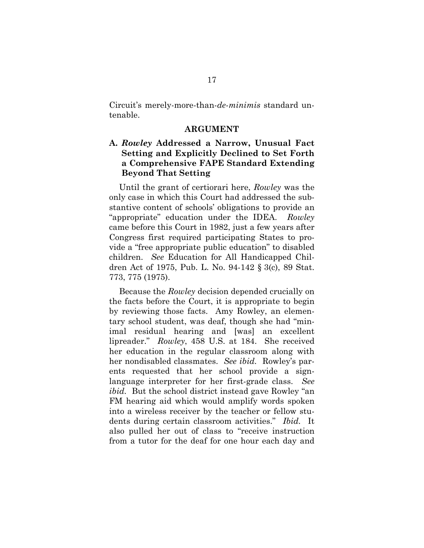Circuit's merely-more-than-*de-minimis* standard untenable.

#### **ARGUMENT**

### **A.** *Rowley* **Addressed a Narrow, Unusual Fact Setting and Explicitly Declined to Set Forth a Comprehensive FAPE Standard Extending Beyond That Setting**

Until the grant of certiorari here, *Rowley* was the only case in which this Court had addressed the substantive content of schools' obligations to provide an "appropriate" education under the IDEA. *Rowley* came before this Court in 1982, just a few years after Congress first required participating States to provide a "free appropriate public education" to disabled children. *See* Education for All Handicapped Children Act of 1975, Pub. L. No. 94-142 § 3(c), 89 Stat. 773, 775 (1975).

Because the *Rowley* decision depended crucially on the facts before the Court, it is appropriate to begin by reviewing those facts. Amy Rowley, an elementary school student, was deaf, though she had "minimal residual hearing and [was] an excellent lipreader." *Rowley*, 458 U.S. at 184. She received her education in the regular classroom along with her nondisabled classmates. *See ibid.* Rowley's parents requested that her school provide a signlanguage interpreter for her first-grade class. *See ibid.* But the school district instead gave Rowley "an FM hearing aid which would amplify words spoken into a wireless receiver by the teacher or fellow students during certain classroom activities." *Ibid.* It also pulled her out of class to "receive instruction from a tutor for the deaf for one hour each day and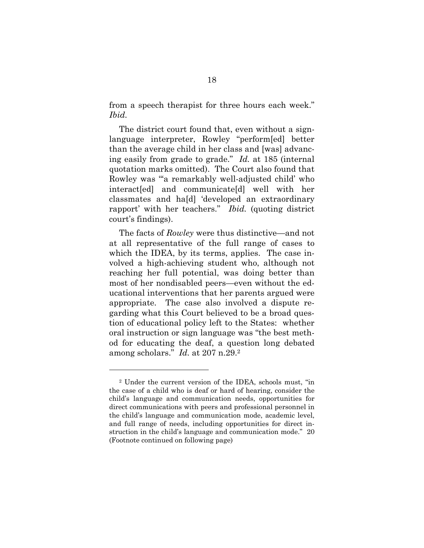from a speech therapist for three hours each week." *Ibid.* 

The district court found that, even without a signlanguage interpreter, Rowley "perform[ed] better than the average child in her class and [was] advancing easily from grade to grade." *Id.* at 185 (internal quotation marks omitted). The Court also found that Rowley was "'a remarkably well-adjusted child' who interact[ed] and communicate[d] well with her classmates and ha[d] 'developed an extraordinary rapport' with her teachers." *Ibid.* (quoting district court's findings).

The facts of *Rowley* were thus distinctive—and not at all representative of the full range of cases to which the IDEA, by its terms, applies. The case involved a high-achieving student who, although not reaching her full potential, was doing better than most of her nondisabled peers—even without the educational interventions that her parents argued were appropriate. The case also involved a dispute regarding what this Court believed to be a broad question of educational policy left to the States: whether oral instruction or sign language was "the best method for educating the deaf, a question long debated among scholars." *Id.* at 207 n.29.2

l

<sup>2</sup> Under the current version of the IDEA, schools must, "in the case of a child who is deaf or hard of hearing, consider the child's language and communication needs, opportunities for direct communications with peers and professional personnel in the child's language and communication mode, academic level, and full range of needs, including opportunities for direct instruction in the child's language and communication mode." 20 (Footnote continued on following page)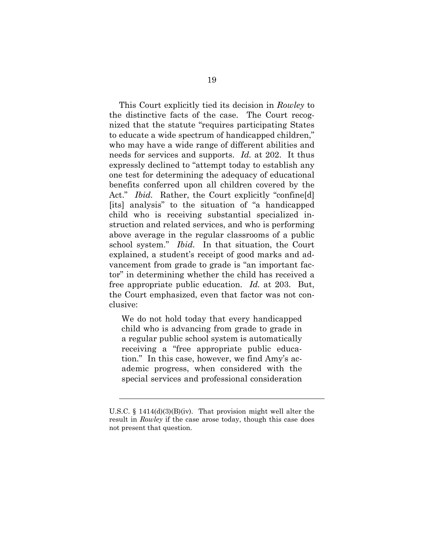This Court explicitly tied its decision in *Rowley* to the distinctive facts of the case. The Court recognized that the statute "requires participating States to educate a wide spectrum of handicapped children," who may have a wide range of different abilities and needs for services and supports. *Id.* at 202. It thus expressly declined to "attempt today to establish any one test for determining the adequacy of educational benefits conferred upon all children covered by the Act." *Ibid.* Rather, the Court explicitly "confineed [its] analysis" to the situation of "a handicapped child who is receiving substantial specialized instruction and related services, and who is performing above average in the regular classrooms of a public school system." *Ibid.* In that situation, the Court explained, a student's receipt of good marks and advancement from grade to grade is "an important factor" in determining whether the child has received a free appropriate public education. *Id.* at 203. But, the Court emphasized, even that factor was not conclusive:

We do not hold today that every handicapped child who is advancing from grade to grade in a regular public school system is automatically receiving a "free appropriate public education." In this case, however, we find Amy's academic progress, when considered with the special services and professional consideration

1

U.S.C. § 1414(d)(3)(B)(iv). That provision might well alter the result in *Rowley* if the case arose today, though this case does not present that question.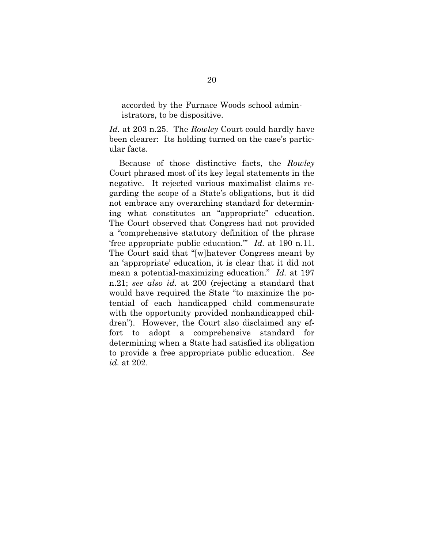accorded by the Furnace Woods school administrators, to be dispositive.

*Id.* at 203 n.25. The *Rowley* Court could hardly have been clearer: Its holding turned on the case's particular facts.

Because of those distinctive facts, the *Rowley* Court phrased most of its key legal statements in the negative. It rejected various maximalist claims regarding the scope of a State's obligations, but it did not embrace any overarching standard for determining what constitutes an "appropriate" education. The Court observed that Congress had not provided a "comprehensive statutory definition of the phrase 'free appropriate public education.'" *Id.* at 190 n.11. The Court said that "[w]hatever Congress meant by an 'appropriate' education, it is clear that it did not mean a potential-maximizing education." *Id.* at 197 n.21; *see also id.* at 200 (rejecting a standard that would have required the State "to maximize the potential of each handicapped child commensurate with the opportunity provided nonhandicapped children"). However, the Court also disclaimed any effort to adopt a comprehensive standard for determining when a State had satisfied its obligation to provide a free appropriate public education. *See id.* at 202.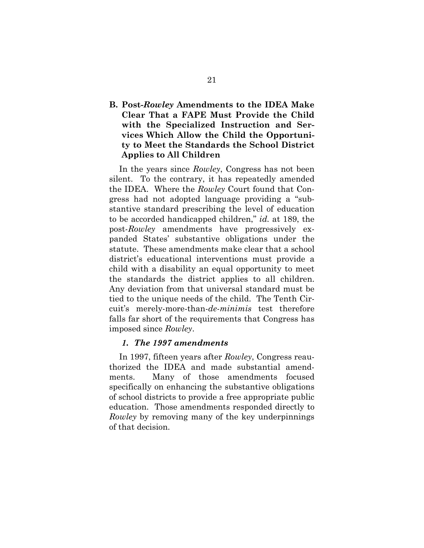### **B. Post-***Rowley* **Amendments to the IDEA Make Clear That a FAPE Must Provide the Child with the Specialized Instruction and Services Which Allow the Child the Opportunity to Meet the Standards the School District Applies to All Children**

In the years since *Rowley*, Congress has not been silent. To the contrary, it has repeatedly amended the IDEA. Where the *Rowley* Court found that Congress had not adopted language providing a "substantive standard prescribing the level of education to be accorded handicapped children," *id.* at 189, the post-*Rowley* amendments have progressively expanded States' substantive obligations under the statute. These amendments make clear that a school district's educational interventions must provide a child with a disability an equal opportunity to meet the standards the district applies to all children. Any deviation from that universal standard must be tied to the unique needs of the child. The Tenth Circuit's merely-more-than-*de-minimis* test therefore falls far short of the requirements that Congress has imposed since *Rowley*.

#### *1. The 1997 amendments*

In 1997, fifteen years after *Rowley*, Congress reauthorized the IDEA and made substantial amendments. Many of those amendments focused specifically on enhancing the substantive obligations of school districts to provide a free appropriate public education. Those amendments responded directly to *Rowley* by removing many of the key underpinnings of that decision.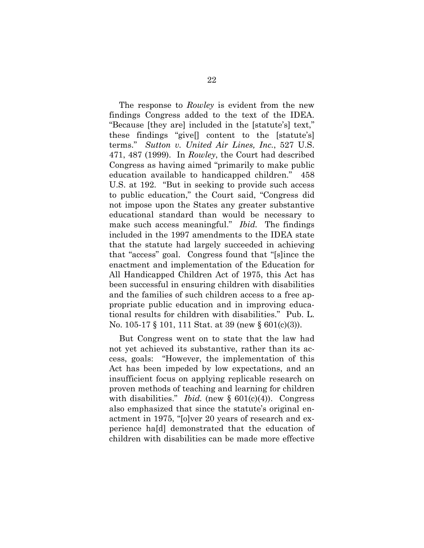The response to *Rowley* is evident from the new findings Congress added to the text of the IDEA. "Because [they are] included in the [statute's] text," these findings "give[] content to the [statute's] terms." *Sutton v. United Air Lines, Inc.*, 527 U.S. 471, 487 (1999). In *Rowley*, the Court had described Congress as having aimed "primarily to make public education available to handicapped children." 458 U.S. at 192. "But in seeking to provide such access to public education," the Court said, "Congress did not impose upon the States any greater substantive educational standard than would be necessary to make such access meaningful." *Ibid.* The findings included in the 1997 amendments to the IDEA state that the statute had largely succeeded in achieving that "access" goal. Congress found that "[s]ince the enactment and implementation of the Education for All Handicapped Children Act of 1975, this Act has been successful in ensuring children with disabilities and the families of such children access to a free appropriate public education and in improving educational results for children with disabilities." Pub. L. No. 105-17 § 101, 111 Stat. at 39 (new § 601(c)(3)).

But Congress went on to state that the law had not yet achieved its substantive, rather than its access, goals: "However, the implementation of this Act has been impeded by low expectations, and an insufficient focus on applying replicable research on proven methods of teaching and learning for children with disabilities." *Ibid.* (new  $\S$  601(c)(4)). Congress also emphasized that since the statute's original enactment in 1975, "[o]ver 20 years of research and experience ha[d] demonstrated that the education of children with disabilities can be made more effective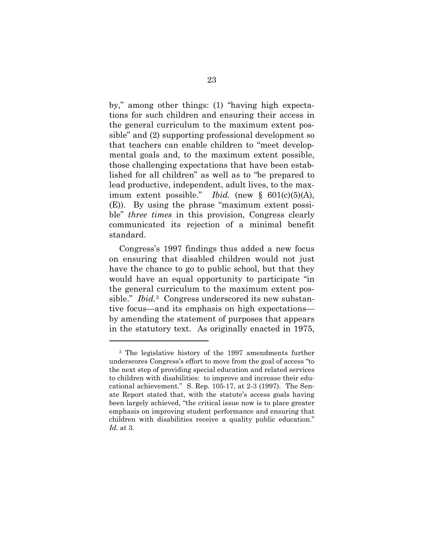by," among other things: (1) "having high expectations for such children and ensuring their access in the general curriculum to the maximum extent possible" and (2) supporting professional development so that teachers can enable children to "meet developmental goals and, to the maximum extent possible, those challenging expectations that have been established for all children" as well as to "be prepared to lead productive, independent, adult lives, to the maximum extent possible." *Ibid.* (new  $\S$  601(c)(5)(A), (E)). By using the phrase "maximum extent possible" *three times* in this provision, Congress clearly communicated its rejection of a minimal benefit standard.

Congress's 1997 findings thus added a new focus on ensuring that disabled children would not just have the chance to go to public school, but that they would have an equal opportunity to participate "in the general curriculum to the maximum extent possible." *Ibid.*3 Congress underscored its new substantive focus—and its emphasis on high expectations by amending the statement of purposes that appears in the statutory text. As originally enacted in 1975,

l

<sup>3</sup> The legislative history of the 1997 amendments further underscores Congress's effort to move from the goal of access "to the next step of providing special education and related services to children with disabilities: to improve and increase their educational achievement." S. Rep. 105-17, at 2-3 (1997). The Senate Report stated that, with the statute's access goals having been largely achieved, "the critical issue now is to place greater emphasis on improving student performance and ensuring that children with disabilities receive a quality public education." *Id.* at 3.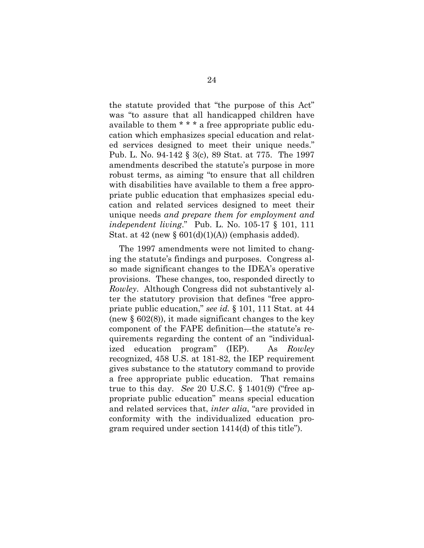the statute provided that "the purpose of this Act" was "to assure that all handicapped children have available to them \* \* \* a free appropriate public education which emphasizes special education and related services designed to meet their unique needs." Pub. L. No. 94-142 § 3(c), 89 Stat. at 775. The 1997 amendments described the statute's purpose in more robust terms, as aiming "to ensure that all children with disabilities have available to them a free appropriate public education that emphasizes special education and related services designed to meet their unique needs *and prepare them for employment and independent living*." Pub. L. No. 105-17 § 101, 111 Stat. at  $42$  (new §  $601(d)(1)(A)$ ) (emphasis added).

The 1997 amendments were not limited to changing the statute's findings and purposes. Congress also made significant changes to the IDEA's operative provisions. These changes, too, responded directly to *Rowley*. Although Congress did not substantively alter the statutory provision that defines "free appropriate public education," *see id.* § 101, 111 Stat. at 44 (new § 602(8)), it made significant changes to the key component of the FAPE definition—the statute's requirements regarding the content of an "individualized education program" (IEP). As *Rowley* recognized, 458 U.S. at 181-82, the IEP requirement gives substance to the statutory command to provide a free appropriate public education. That remains true to this day. *See* 20 U.S.C. § 1401(9) ("free appropriate public education" means special education and related services that, *inter alia*, "are provided in conformity with the individualized education program required under section 1414(d) of this title").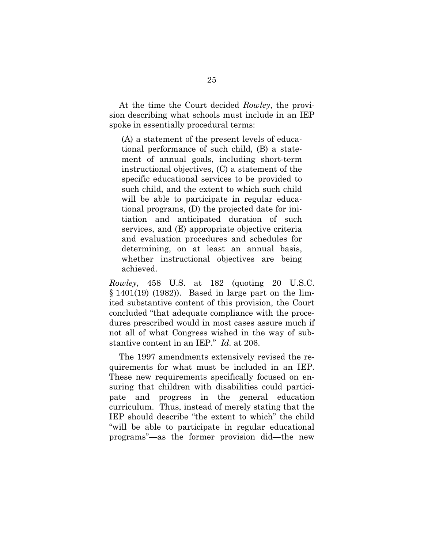At the time the Court decided *Rowley*, the provision describing what schools must include in an IEP spoke in essentially procedural terms:

(A) a statement of the present levels of educational performance of such child, (B) a statement of annual goals, including short-term instructional objectives, (C) a statement of the specific educational services to be provided to such child, and the extent to which such child will be able to participate in regular educational programs, (D) the projected date for initiation and anticipated duration of such services, and (E) appropriate objective criteria and evaluation procedures and schedules for determining, on at least an annual basis, whether instructional objectives are being achieved.

*Rowley*, 458 U.S. at 182 (quoting 20 U.S.C. § 1401(19) (1982)). Based in large part on the limited substantive content of this provision, the Court concluded "that adequate compliance with the procedures prescribed would in most cases assure much if not all of what Congress wished in the way of substantive content in an IEP." *Id.* at 206.

The 1997 amendments extensively revised the requirements for what must be included in an IEP. These new requirements specifically focused on ensuring that children with disabilities could participate and progress in the general education curriculum. Thus, instead of merely stating that the IEP should describe "the extent to which" the child "will be able to participate in regular educational programs"—as the former provision did—the new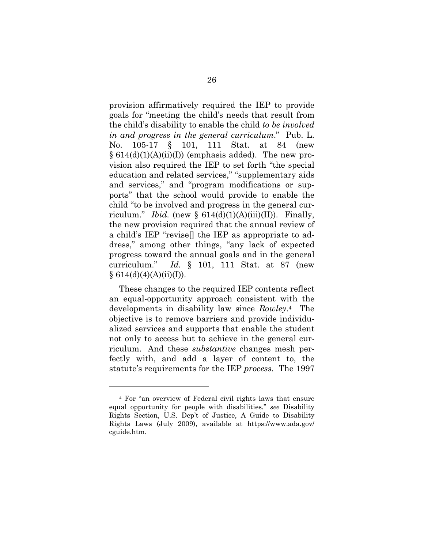provision affirmatively required the IEP to provide goals for "meeting the child's needs that result from the child's disability to enable the child *to be involved in and progress in the general curriculum*." Pub. L. No. 105-17 § 101, 111 Stat. at 84 (new  $\S 614(d)(1)(A(ii)(I))$  (emphasis added). The new provision also required the IEP to set forth "the special education and related services," "supplementary aids and services," and "program modifications or supports" that the school would provide to enable the child "to be involved and progress in the general curriculum." *Ibid.* (new §  $614(d)(1)(A)(iii)(II)$ ). Finally, the new provision required that the annual review of a child's IEP "revise[] the IEP as appropriate to address," among other things, "any lack of expected progress toward the annual goals and in the general curriculum." *Id.* § 101, 111 Stat. at 87 (new  $§ 614(d)(4)(A)(ii)(I)).$ 

These changes to the required IEP contents reflect an equal-opportunity approach consistent with the developments in disability law since *Rowley*.4 The objective is to remove barriers and provide individualized services and supports that enable the student not only to access but to achieve in the general curriculum. And these *substantive* changes mesh perfectly with, and add a layer of content to, the statute's requirements for the IEP *process*. The 1997

l

<sup>4</sup> For "an overview of Federal civil rights laws that ensure equal opportunity for people with disabilities," *see* Disability Rights Section, U.S. Dep't of Justice, A Guide to Disability Rights Laws (July 2009), available at https://www.ada.gov/ cguide.htm.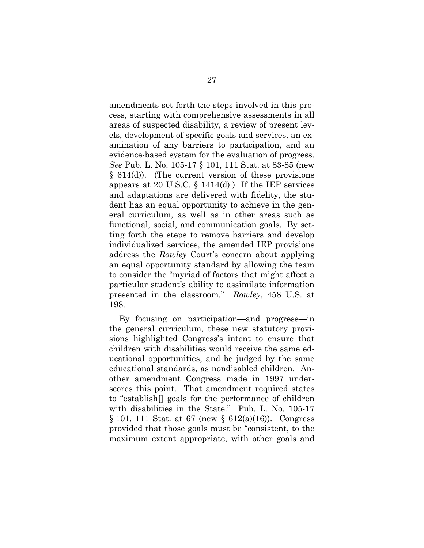amendments set forth the steps involved in this process, starting with comprehensive assessments in all areas of suspected disability, a review of present levels, development of specific goals and services, an examination of any barriers to participation, and an evidence-based system for the evaluation of progress. *See* Pub. L. No. 105-17 § 101, 111 Stat. at 83-85 (new § 614(d)). (The current version of these provisions appears at 20 U.S.C.  $\S$  1414(d).) If the IEP services and adaptations are delivered with fidelity, the student has an equal opportunity to achieve in the general curriculum, as well as in other areas such as functional, social, and communication goals. By setting forth the steps to remove barriers and develop individualized services, the amended IEP provisions address the *Rowley* Court's concern about applying an equal opportunity standard by allowing the team to consider the "myriad of factors that might affect a particular student's ability to assimilate information presented in the classroom." *Rowley*, 458 U.S. at 198.

By focusing on participation—and progress—in the general curriculum, these new statutory provisions highlighted Congress's intent to ensure that children with disabilities would receive the same educational opportunities, and be judged by the same educational standards, as nondisabled children. Another amendment Congress made in 1997 underscores this point. That amendment required states to "establish[] goals for the performance of children with disabilities in the State." Pub. L. No. 105-17 § 101, 111 Stat. at 67 (new § 612(a)(16)). Congress provided that those goals must be "consistent, to the maximum extent appropriate, with other goals and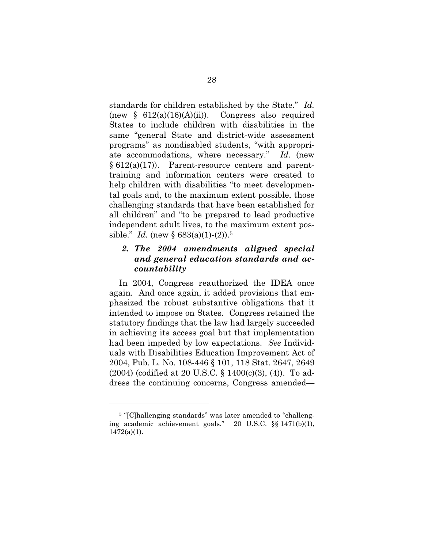standards for children established by the State." *Id.* (new  $\S$  612(a)(16)(A)(ii)). Congress also required States to include children with disabilities in the same "general State and district-wide assessment programs" as nondisabled students, "with appropriate accommodations, where necessary." *Id.* (new  $§ 612(a)(17)$ . Parent-resource centers and parenttraining and information centers were created to help children with disabilities "to meet developmental goals and, to the maximum extent possible, those challenging standards that have been established for all children" and "to be prepared to lead productive independent adult lives, to the maximum extent possible." *Id.* (new  $\S 683(a)(1)-(2)$ ).<sup>5</sup>

#### *2. The 2004 amendments aligned special and general education standards and accountability*

In 2004, Congress reauthorized the IDEA once again. And once again, it added provisions that emphasized the robust substantive obligations that it intended to impose on States. Congress retained the statutory findings that the law had largely succeeded in achieving its access goal but that implementation had been impeded by low expectations. *See* Individuals with Disabilities Education Improvement Act of 2004, Pub. L. No. 108-446 § 101, 118 Stat. 2647, 2649 (2004) (codified at 20 U.S.C. § 1400(c)(3), (4)). To address the continuing concerns, Congress amended—

l

<sup>&</sup>lt;sup>5</sup> "[C]hallenging standards" was later amended to "challenging academic achievement goals." 20 U.S.C. §§ 1471(b)(1),  $1472(a)(1)$ .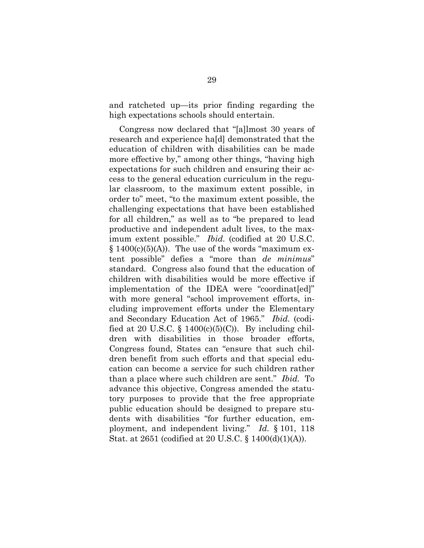and ratcheted up—its prior finding regarding the high expectations schools should entertain.

Congress now declared that "[a]lmost 30 years of research and experience ha[d] demonstrated that the education of children with disabilities can be made more effective by," among other things, "having high expectations for such children and ensuring their access to the general education curriculum in the regular classroom, to the maximum extent possible, in order to" meet, "to the maximum extent possible, the challenging expectations that have been established for all children," as well as to "be prepared to lead productive and independent adult lives, to the maximum extent possible." *Ibid.* (codified at 20 U.S.C.  $§ 1400(c)(5)(A))$ . The use of the words "maximum extent possible" defies a "more than *de minimus*" standard. Congress also found that the education of children with disabilities would be more effective if implementation of the IDEA were "coordinat[ed]" with more general "school improvement efforts, including improvement efforts under the Elementary and Secondary Education Act of 1965." *Ibid.* (codified at 20 U.S.C. § 1400(c)(5)(C)). By including children with disabilities in those broader efforts, Congress found, States can "ensure that such children benefit from such efforts and that special education can become a service for such children rather than a place where such children are sent." *Ibid.* To advance this objective, Congress amended the statutory purposes to provide that the free appropriate public education should be designed to prepare students with disabilities "for further education, employment, and independent living." *Id.* § 101, 118 Stat. at 2651 (codified at 20 U.S.C. § 1400(d)(1)(A)).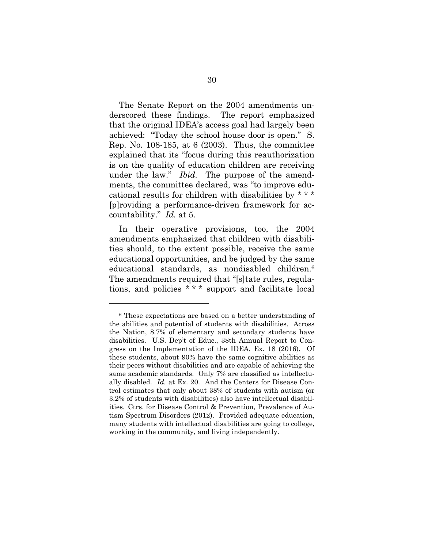The Senate Report on the 2004 amendments underscored these findings. The report emphasized that the original IDEA's access goal had largely been achieved: "Today the school house door is open." S. Rep. No. 108-185, at 6 (2003). Thus, the committee explained that its "focus during this reauthorization is on the quality of education children are receiving under the law." *Ibid.* The purpose of the amendments, the committee declared, was "to improve educational results for children with disabilities by \* \* \* [p]roviding a performance-driven framework for accountability." *Id.* at 5.

In their operative provisions, too, the 2004 amendments emphasized that children with disabilities should, to the extent possible, receive the same educational opportunities, and be judged by the same educational standards, as nondisabled children.6 The amendments required that "[s]tate rules, regulations, and policies \* \* \* support and facilitate local

<sup>6</sup> These expectations are based on a better understanding of the abilities and potential of students with disabilities. Across the Nation, 8.7% of elementary and secondary students have disabilities. U.S. Dep't of Educ., 38th Annual Report to Congress on the Implementation of the IDEA, Ex. 18 (2016). Of these students, about 90% have the same cognitive abilities as their peers without disabilities and are capable of achieving the same academic standards. Only 7% are classified as intellectually disabled. *Id.* at Ex. 20. And the Centers for Disease Control estimates that only about 38% of students with autism (or 3.2% of students with disabilities) also have intellectual disabilities. Ctrs. for Disease Control & Prevention, Prevalence of Autism Spectrum Disorders (2012). Provided adequate education, many students with intellectual disabilities are going to college, working in the community, and living independently.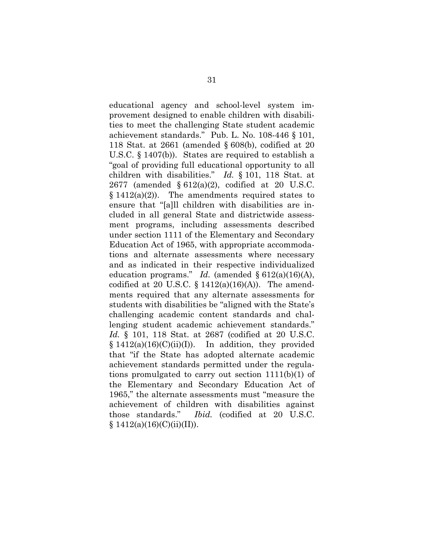educational agency and school-level system improvement designed to enable children with disabilities to meet the challenging State student academic achievement standards." Pub. L. No. 108-446 § 101, 118 Stat. at 2661 (amended § 608(b), codified at 20 U.S.C. § 1407(b)). States are required to establish a "goal of providing full educational opportunity to all children with disabilities." *Id.* § 101, 118 Stat. at 2677 (amended § 612(a)(2), codified at 20 U.S.C.  $§ 1412(a)(2)$ . The amendments required states to ensure that "[a]ll children with disabilities are included in all general State and districtwide assessment programs, including assessments described under section 1111 of the Elementary and Secondary Education Act of 1965, with appropriate accommodations and alternate assessments where necessary and as indicated in their respective individualized education programs." *Id.* (amended § 612(a)(16)(A), codified at 20 U.S.C.  $\S$  1412(a)(16)(A)). The amendments required that any alternate assessments for students with disabilities be "aligned with the State's challenging academic content standards and challenging student academic achievement standards." *Id.* § 101, 118 Stat. at 2687 (codified at 20 U.S.C.  $§ 1412(a)(16)(C)(ii)(I)).$  In addition, they provided that "if the State has adopted alternate academic achievement standards permitted under the regulations promulgated to carry out section 1111(b)(1) of the Elementary and Secondary Education Act of 1965," the alternate assessments must "measure the achievement of children with disabilities against those standards." *Ibid.* (codified at 20 U.S.C.  $§ 1412(a)(16)(C)(ii)(II)).$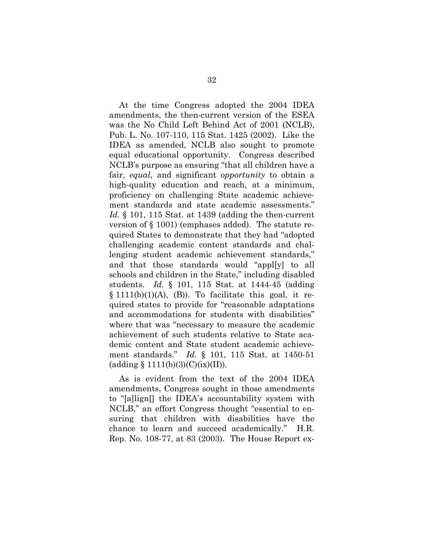At the time Congress adopted the 2004 IDEA amendments, the then-current version of the ESEA was the No Child Left Behind Act of 2001 (NCLB), Pub. L. No. 107-110, 115 Stat. 1425 (2002). Like the IDEA as amended, NCLB also sought to promote equal educational opportunity. Congress described NCLB's purpose as ensuring "that all children have a fair, *equal*, and significant *opportunity* to obtain a high-quality education and reach, at a minimum, proficiency on challenging State academic achievement standards and state academic assessments." *Id.* § 101, 115 Stat. at 1439 (adding the then-current version of § 1001) (emphases added). The statute required States to demonstrate that they had "adopted challenging academic content standards and challenging student academic achievement standards," and that those standards would "appl[y] to all schools and children in the State," including disabled students. *Id.* § 101, 115 Stat. at 1444-45 (adding  $\S$  1111(b)(1)(A), (B)). To facilitate this goal, it required states to provide for "reasonable adaptations and accommodations for students with disabilities" where that was "necessary to measure the academic achievement of such students relative to State academic content and State student academic achievement standards." *Id.* § 101, 115 Stat. at 1450-51  $(adding § 1111(b)(3)(C)(ix)(II)).$ 

As is evident from the text of the 2004 IDEA amendments, Congress sought in those amendments to "[a]lign[] the IDEA's accountability system with NCLB," an effort Congress thought "essential to ensuring that children with disabilities have the chance to learn and succeed academically." H.R. Rep. No. 108-77, at 83 (2003). The House Report ex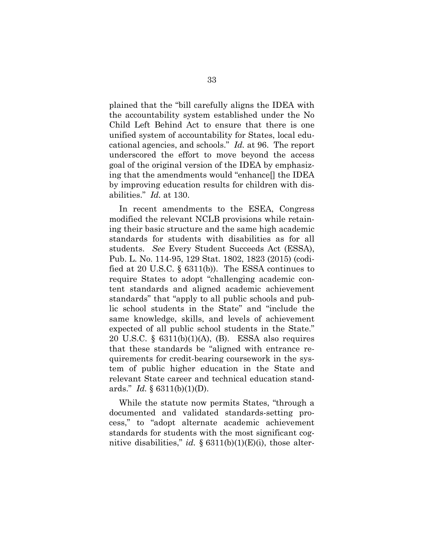plained that the "bill carefully aligns the IDEA with the accountability system established under the No Child Left Behind Act to ensure that there is one unified system of accountability for States, local educational agencies, and schools." *Id.* at 96. The report underscored the effort to move beyond the access goal of the original version of the IDEA by emphasizing that the amendments would "enhance[] the IDEA by improving education results for children with disabilities." *Id.* at 130.

In recent amendments to the ESEA, Congress modified the relevant NCLB provisions while retaining their basic structure and the same high academic standards for students with disabilities as for all students. *See* Every Student Succeeds Act (ESSA), Pub. L. No. 114-95, 129 Stat. 1802, 1823 (2015) (codified at 20 U.S.C. § 6311(b)). The ESSA continues to require States to adopt "challenging academic content standards and aligned academic achievement standards" that "apply to all public schools and public school students in the State" and "include the same knowledge, skills, and levels of achievement expected of all public school students in the State." 20 U.S.C. § 6311(b)(1)(A), (B). ESSA also requires that these standards be "aligned with entrance requirements for credit-bearing coursework in the system of public higher education in the State and relevant State career and technical education standards." *Id.* § 6311(b)(1)(D).

While the statute now permits States, "through a documented and validated standards-setting process," to "adopt alternate academic achievement standards for students with the most significant cognitive disabilities," *id.*  $\S 6311(b)(1)(E)(i)$ , those alter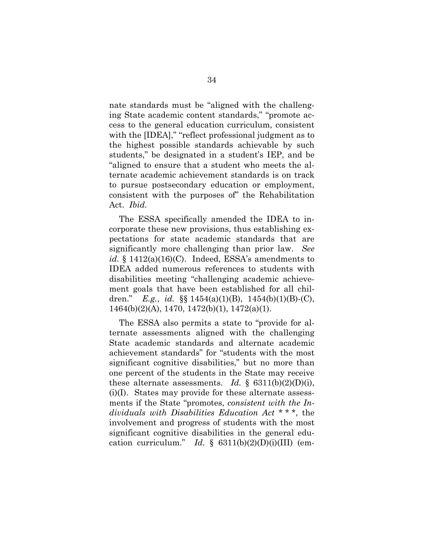nate standards must be "aligned with the challenging State academic content standards," "promote access to the general education curriculum, consistent with the [IDEA]," "reflect professional judgment as to the highest possible standards achievable by such students," be designated in a student's IEP, and be "aligned to ensure that a student who meets the alternate academic achievement standards is on track to pursue postsecondary education or employment, consistent with the purposes of" the Rehabilitation Act. *Ibid.*

The ESSA specifically amended the IDEA to incorporate these new provisions, thus establishing expectations for state academic standards that are significantly more challenging than prior law. *See*   $id. \S$  1412(a)(16)(C). Indeed, ESSA's amendments to IDEA added numerous references to students with disabilities meeting "challenging academic achievement goals that have been established for all children." *E.g.*, *id.* §§ 1454(a)(1)(B), 1454(b)(1)(B)-(C), 1464(b)(2)(A), 1470, 1472(b)(1), 1472(a)(1).

The ESSA also permits a state to "provide for alternate assessments aligned with the challenging State academic standards and alternate academic achievement standards" for "students with the most significant cognitive disabilities," but no more than one percent of the students in the State may receive these alternate assessments. *Id.*  $\S$  6311(b)(2)(D)(i), (i)(I). States may provide for these alternate assessments if the State "promotes, *consistent with the Individuals with Disabilities Education Act* \* \* \*, the involvement and progress of students with the most significant cognitive disabilities in the general education curriculum." *Id.*  $\S$  6311(b)(2)(D)(i)(III) (em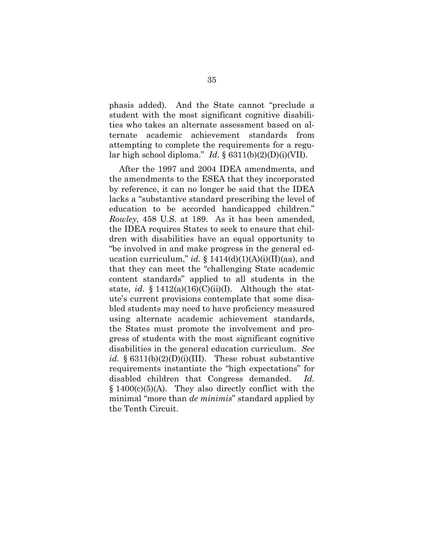phasis added). And the State cannot "preclude a student with the most significant cognitive disabilities who takes an alternate assessment based on alternate academic achievement standards from attempting to complete the requirements for a regular high school diploma." *Id.* § 6311(b)(2)(D)(i)(VII).

After the 1997 and 2004 IDEA amendments, and the amendments to the ESEA that they incorporated by reference, it can no longer be said that the IDEA lacks a "substantive standard prescribing the level of education to be accorded handicapped children." *Rowley*, 458 U.S. at 189. As it has been amended, the IDEA requires States to seek to ensure that children with disabilities have an equal opportunity to "be involved in and make progress in the general education curriculum," *id.*  $\S$  1414(d)(1)(A)(i)(II)(aa), and that they can meet the "challenging State academic content standards" applied to all students in the state, *id.*  $§ 1412(a)(16)(C)(ii)(I)$ . Although the statute's current provisions contemplate that some disabled students may need to have proficiency measured using alternate academic achievement standards, the States must promote the involvement and progress of students with the most significant cognitive disabilities in the general education curriculum. *See id.*  $\S 6311(b)(2)(D)(i)(III)$ . These robust substantive requirements instantiate the "high expectations" for disabled children that Congress demanded. *Id.*  $§ 1400(c)(5)(A)$ . They also directly conflict with the minimal "more than *de minimis*" standard applied by the Tenth Circuit.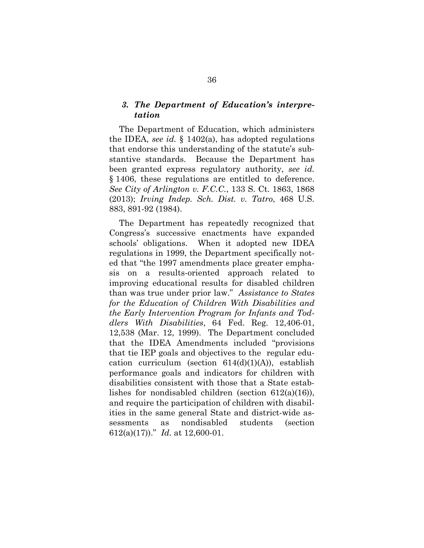#### *3. The Department of Education's interpretation*

The Department of Education, which administers the IDEA, *see id.* § 1402(a), has adopted regulations that endorse this understanding of the statute's substantive standards. Because the Department has been granted express regulatory authority, *see id.* § 1406, these regulations are entitled to deference. *See City of Arlington v. F.C.C.*, 133 S. Ct. 1863, 1868 (2013); *Irving Indep. Sch. Dist. v. Tatro*, 468 U.S. 883, 891-92 (1984).

The Department has repeatedly recognized that Congress's successive enactments have expanded schools' obligations. When it adopted new IDEA regulations in 1999, the Department specifically noted that "the 1997 amendments place greater emphasis on a results-oriented approach related to improving educational results for disabled children than was true under prior law." *Assistance to States for the Education of Children With Disabilities and the Early Intervention Program for Infants and Toddlers With Disabilities*, 64 Fed. Reg. 12,406-01, 12,538 (Mar. 12, 1999). The Department concluded that the IDEA Amendments included "provisions that tie IEP goals and objectives to the regular education curriculum (section  $614(d)(1)(A)$ ), establish performance goals and indicators for children with disabilities consistent with those that a State establishes for nondisabled children (section 612(a)(16)), and require the participation of children with disabilities in the same general State and district-wide assessments as nondisabled students (section 612(a)(17))." *Id.* at 12,600-01.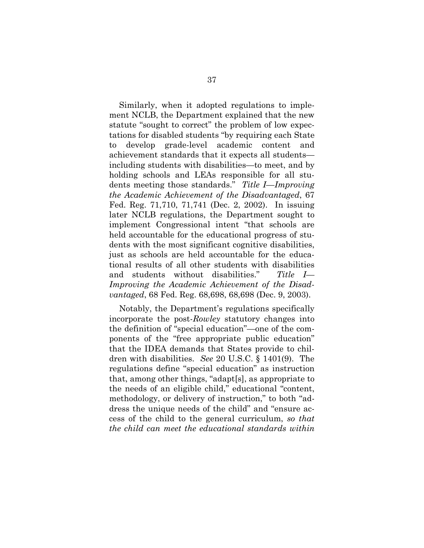Similarly, when it adopted regulations to implement NCLB, the Department explained that the new statute "sought to correct" the problem of low expectations for disabled students "by requiring each State to develop grade-level academic content and achievement standards that it expects all students including students with disabilities—to meet, and by holding schools and LEAs responsible for all students meeting those standards." *Title I—Improving the Academic Achievement of the Disadvantaged*, 67 Fed. Reg. 71,710, 71,741 (Dec. 2, 2002). In issuing later NCLB regulations, the Department sought to implement Congressional intent "that schools are held accountable for the educational progress of students with the most significant cognitive disabilities, just as schools are held accountable for the educational results of all other students with disabilities and students without disabilities." *Title I— Improving the Academic Achievement of the Disadvantaged*, 68 Fed. Reg. 68,698, 68,698 (Dec. 9, 2003).

Notably, the Department's regulations specifically incorporate the post-*Rowley* statutory changes into the definition of "special education"—one of the components of the "free appropriate public education" that the IDEA demands that States provide to children with disabilities. *See* 20 U.S.C. § 1401(9). The regulations define "special education" as instruction that, among other things, "adapt[s], as appropriate to the needs of an eligible child," educational "content, methodology, or delivery of instruction," to both "address the unique needs of the child" and "ensure access of the child to the general curriculum, *so that the child can meet the educational standards within*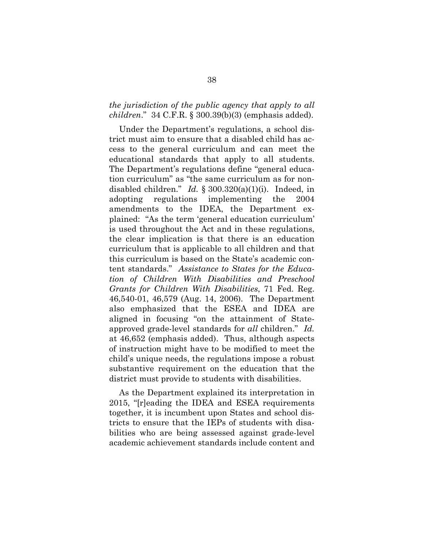#### *the jurisdiction of the public agency that apply to all children*." 34 C.F.R. § 300.39(b)(3) (emphasis added).

Under the Department's regulations, a school district must aim to ensure that a disabled child has access to the general curriculum and can meet the educational standards that apply to all students. The Department's regulations define "general education curriculum" as "the same curriculum as for nondisabled children." *Id.* § 300.320(a)(1)(i). Indeed, in adopting regulations implementing the 2004 amendments to the IDEA, the Department explained: "As the term 'general education curriculum' is used throughout the Act and in these regulations, the clear implication is that there is an education curriculum that is applicable to all children and that this curriculum is based on the State's academic content standards." *Assistance to States for the Education of Children With Disabilities and Preschool Grants for Children With Disabilities*, 71 Fed. Reg. 46,540-01, 46,579 (Aug. 14, 2006). The Department also emphasized that the ESEA and IDEA are aligned in focusing "on the attainment of Stateapproved grade-level standards for *all* children." *Id.* at 46,652 (emphasis added). Thus, although aspects of instruction might have to be modified to meet the child's unique needs, the regulations impose a robust substantive requirement on the education that the district must provide to students with disabilities.

As the Department explained its interpretation in 2015, "[r]eading the IDEA and ESEA requirements together, it is incumbent upon States and school districts to ensure that the IEPs of students with disabilities who are being assessed against grade-level academic achievement standards include content and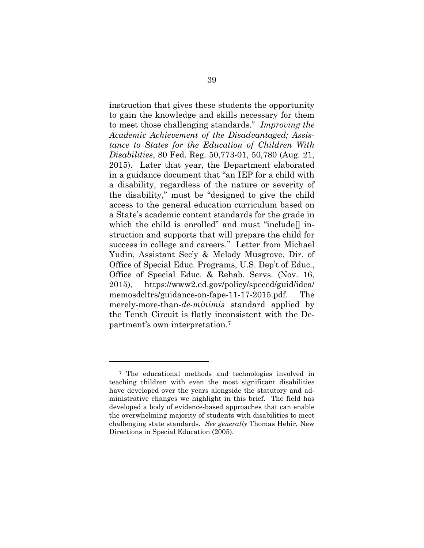instruction that gives these students the opportunity to gain the knowledge and skills necessary for them to meet those challenging standards." *Improving the Academic Achievement of the Disadvantaged; Assistance to States for the Education of Children With Disabilities*, 80 Fed. Reg. 50,773-01, 50,780 (Aug. 21, 2015). Later that year, the Department elaborated in a guidance document that "an IEP for a child with a disability, regardless of the nature or severity of the disability," must be "designed to give the child access to the general education curriculum based on a State's academic content standards for the grade in which the child is enrolled" and must "include[] instruction and supports that will prepare the child for success in college and careers." Letter from Michael Yudin, Assistant Sec'y & Melody Musgrove, Dir. of Office of Special Educ. Programs, U.S. Dep't of Educ., Office of Special Educ. & Rehab. Servs. (Nov. 16, 2015), https://www2.ed.gov/policy/speced/guid/idea/ memosdcltrs/guidance-on-fape-11-17-2015.pdf. The merely-more-than-*de-minimis* standard applied by the Tenth Circuit is flatly inconsistent with the Department's own interpretation.7

l

<sup>7</sup> The educational methods and technologies involved in teaching children with even the most significant disabilities have developed over the years alongside the statutory and administrative changes we highlight in this brief. The field has developed a body of evidence-based approaches that can enable the overwhelming majority of students with disabilities to meet challenging state standards. *See generally* Thomas Hehir, New Directions in Special Education (2005).